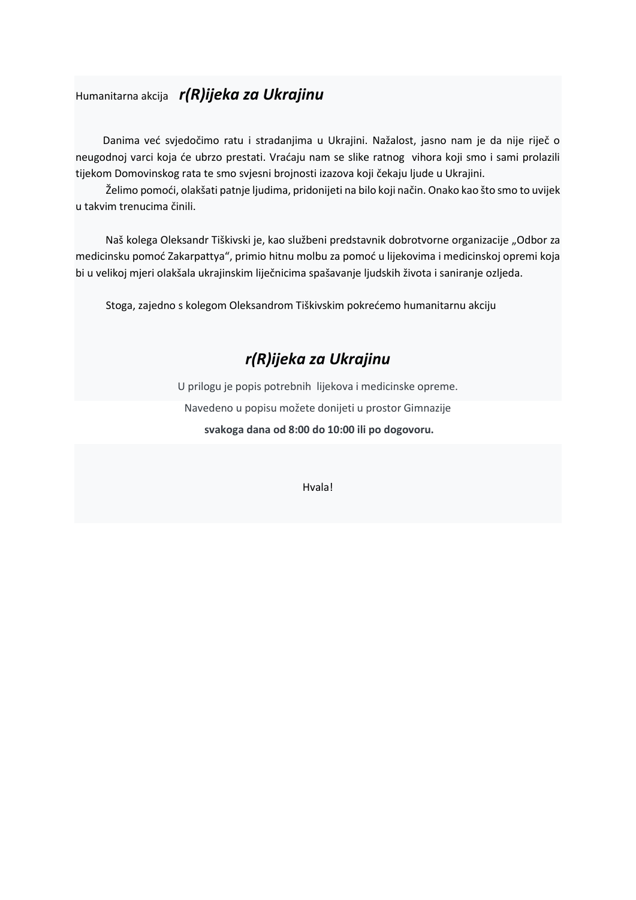## Humanitarna akcija *r(R)ijeka za Ukrajinu*

Danima već svjedočimo ratu i stradanjima u Ukrajini. Nažalost, jasno nam je da nije riječ o neugodnoj varci koja će ubrzo prestati. Vraćaju nam se slike ratnog vihora koji smo i sami prolazili tijekom Domovinskog rata te smo svjesni brojnosti izazova koji čekaju ljude u Ukrajini.

Želimo pomoći, olakšati patnje ljudima, pridonijeti na bilo koji način. Onako kao što smo to uvijek u takvim trenucima činili.

Naš kolega Oleksandr Tiškivski je, kao službeni predstavnik dobrotvorne organizacije "Odbor za medicinsku pomoć Zakarpattya", primio hitnu molbu za pomoć u lijekovima i medicinskoj opremi koja bi u velikoj mjeri olakšala ukrajinskim liječnicima spašavanje ljudskih života i saniranje ozljeda.

Stoga, zajedno s kolegom Oleksandrom Tiškivskim pokrećemo humanitarnu akciju

# *r(R)ijeka za Ukrajinu*

U prilogu je popis potrebnih lijekova i medicinske opreme. Navedeno u popisu možete donijeti u prostor Gimnazije

**svakoga dana od 8:00 do 10:00 ili po dogovoru.** 

Hvala!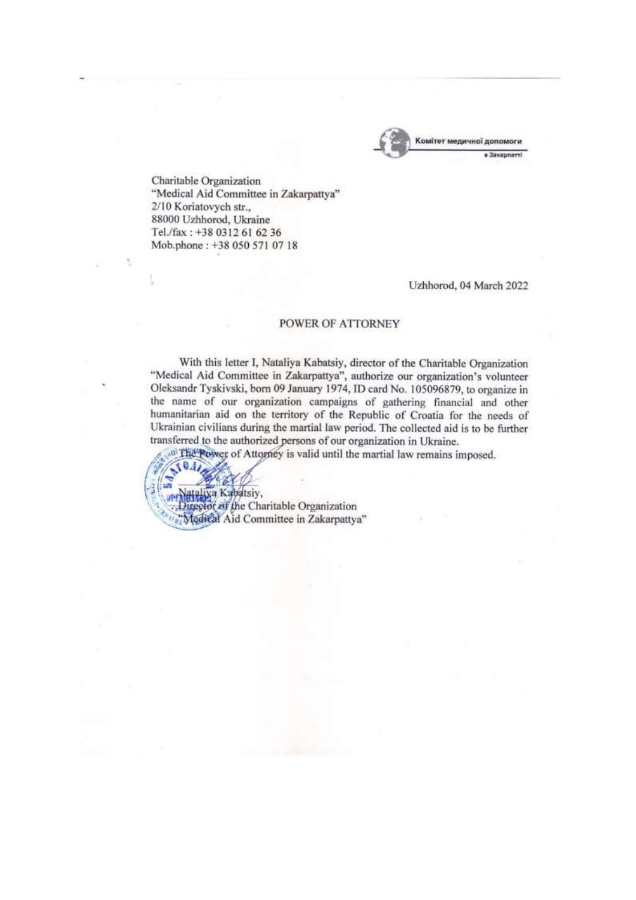

Charitable Organization "Medical Aid Committee in Zakarpattya" 2/10 Koriatovych str., 88000 Uzhhorod, Ukraine Tel./fax: +38 0312 61 62 36 Mob.phone: +38 050 571 07 18

Uzhhorod, 04 March 2022

#### **POWER OF ATTORNEY**

With this letter I, Nataliya Kabatsiy, director of the Charitable Organization "Medical Aid Committee in Zakarpattya", authorize our organization's volunteer Oleksandr Tyskivski, born 09 January 1974, ID card No. 105096879, to organize in the name of our organization campaigns of gathering financial and other humanitarian aid on the territory of the Republic of Croatia for the needs of Ukrainian civilians during the martial law period. The collected aid is to be further transferred to the authorized persons of our organization in Ukraine.

<sup>0</sup> The Power of Attorney is valid until the martial law remains imposed.

 $0.11$ ataliya Kabatsiy,

Director of the Charitable Organization "Medical Aid Committee in Zakarpattya"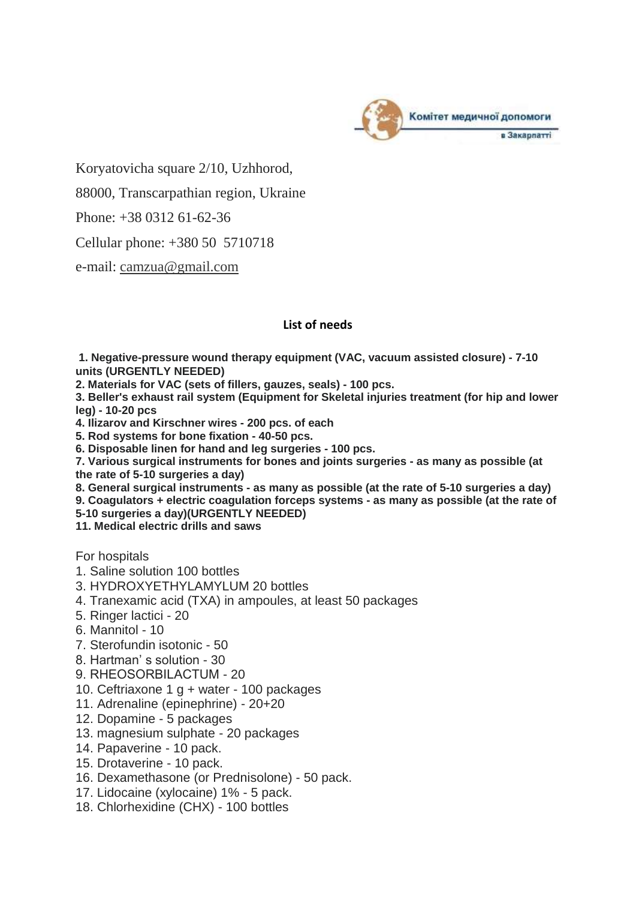

Koryatovicha square 2/10, Uzhhorod,

88000, Transcarpathian region, Ukraine

Phone: +38 0312 61-62-36

Cellular phone: +380 50 5710718

e-mail: [camzua@gmail.com](mailto:camzua@gmail.com)

## **List of needs**

**1. Negative-pressure wound therapy equipment (VAC, vacuum assisted closure) - 7-10 units (URGENTLY NEEDED)**

**2. Materials for VAC (sets of fillers, gauzes, seals) - 100 pcs.**

**3. Beller's exhaust rail system (Equipment for Skeletal injuries treatment (for hip and lower leg) - 10-20 pcs**

**4. Ilizarov and Kirschner wires - 200 pcs. of each**

**5. Rod systems for bone fixation - 40-50 pcs.**

**6. Disposable linen for hand and leg surgeries - 100 pcs.**

**7. Various surgical instruments for bones and joints surgeries - as many as possible (at the rate of 5-10 surgeries a day)**

**8. General surgical instruments - as many as possible (at the rate of 5-10 surgeries a day)**

**9. Coagulators + electric coagulation forceps systems - as many as possible (at the rate of** 

**5-10 surgeries a day)(URGENTLY NEEDED)**

**11. Medical electric drills and saws**

For hospitals

- 1. Saline solution 100 bottles
- 3. HYDROXYETHYLAMYLUM 20 bottles
- 4. Tranexamic acid (TXA) in ampoules, at least 50 packages
- 5. Ringer lactici 20
- 6. Mannitol 10
- 7. Sterofundin isotonic 50
- 8. Hartman' s solution 30
- 9. RНЕОSОRВILАСТUМ 20
- 10. Ceftriaxone 1 g + water 100 packages
- 11. Adrenaline (epinephrine) 20+20
- 12. Dopamine 5 packages
- 13. magnesium sulphate 20 packages
- 14. Papaverine 10 pack.
- 15. Drotaverine 10 pack.
- 16. Dexamethasone (or Prednisolone) 50 pack.
- 17. Lidocaine (xylocaine) 1% 5 pack.
- 18. Chlorhexidine (CHX) 100 bottles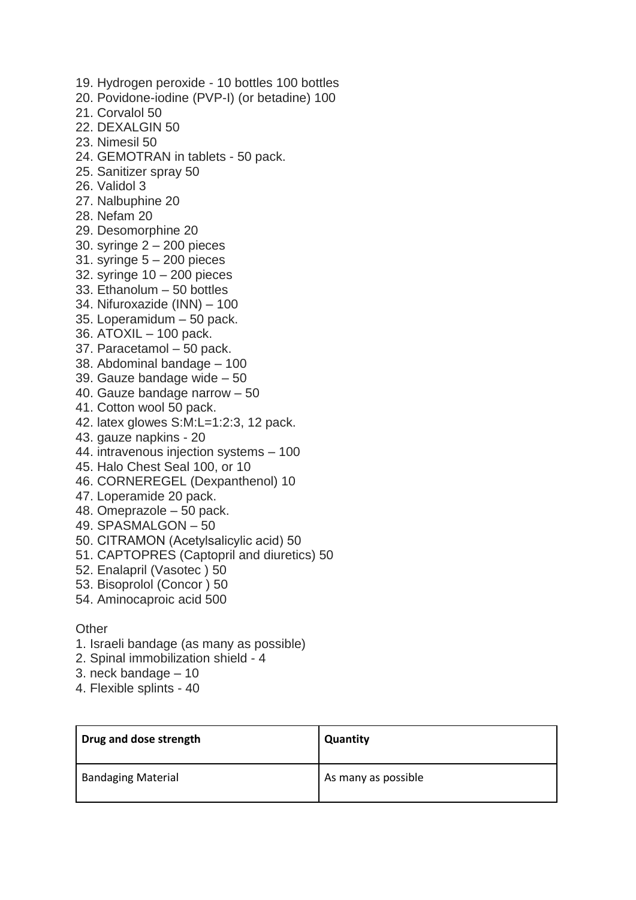- 19. Hydrogen peroxide 10 bottles 100 bottles 20. Povidone-iodine (PVP-I) (or betadine) 100 21. Corvalol 50 22. DEXALGIN 50 23. Nimesil 50 24. GEMOTRAN in tablets - 50 pack. 25. Sanitizer spray 50 26. Validol 3 27. Nalbuphine 20 28. Nefam 20 29. Desomorphine 20 30. syringe 2 – 200 pieces 31. syringe  $5 - 200$  pieces 32. syringe 10 – 200 pieces 33. Ethanolum – 50 bottles 34. Nifuroxazide (INN) – 100 35. Loperamidum – 50 pack. 36. ATOXIL – 100 pack. 37. Paracetamol – 50 pack. 38. Abdominal bandage – 100 39. Gauze bandage wide – 50 40. Gauze bandage narrow – 50 41. Cotton wool 50 pack. 42. latex glowes S:M:L=1:2:3, 12 pack. 43. gauze napkins - 20 44. intravenous injection systems – 100 45. Halo Chest Seal 100, or 10 46. CORNEREGEL (Dexpanthenol) 10 47. Loperamide 20 pack. 48. Omeprazole – 50 pack. 49. SPASMALGON – 50 50. СITRAMON (Acetylsalicylic acid) 50 51. CAPTOPRES (Captopril and diuretics) 50
- 52. Enalapril (Vasotec ) 50
- 53. Bisoprolol (Concor ) 50
- 54. Aminocaproic acid 500

### **Other**

- 1. Israeli bandage (as many as possible)
- 2. Spinal immobilization shield 4
- 3. neck bandage 10
- 4. Flexible splints 40

| Drug and dose strength    | <b>Quantity</b>     |
|---------------------------|---------------------|
| <b>Bandaging Material</b> | As many as possible |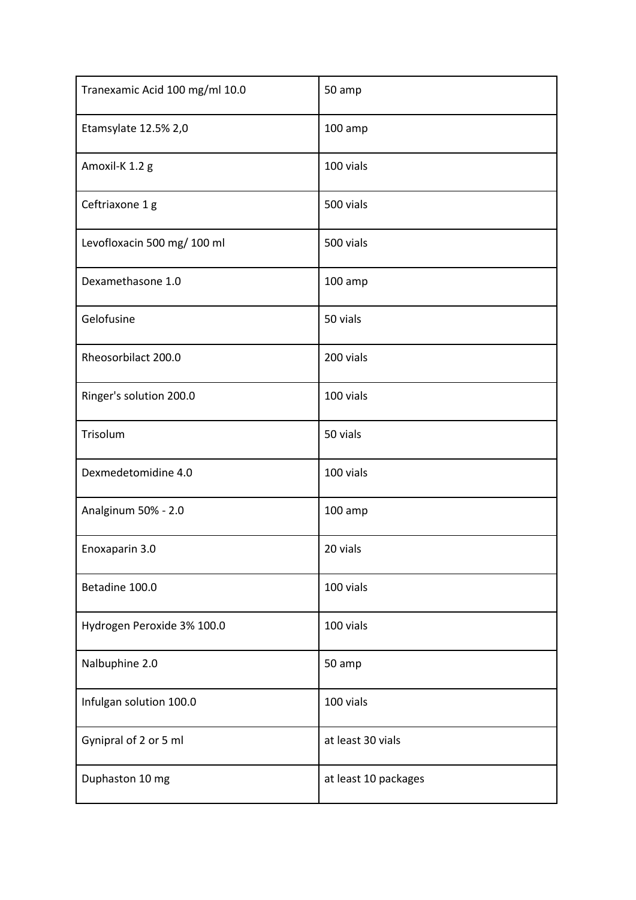| Tranexamic Acid 100 mg/ml 10.0 | 50 amp               |
|--------------------------------|----------------------|
| Etamsylate 12.5% 2,0           | $100$ amp            |
| Amoxil-K 1.2 g                 | 100 vials            |
| Ceftriaxone 1 g                | 500 vials            |
| Levofloxacin 500 mg/ 100 ml    | 500 vials            |
| Dexamethasone 1.0              | $100$ amp            |
| Gelofusine                     | 50 vials             |
| Rheosorbilact 200.0            | 200 vials            |
| Ringer's solution 200.0        | 100 vials            |
| Trisolum                       | 50 vials             |
| Dexmedetomidine 4.0            | 100 vials            |
| Analginum 50% - 2.0            | $100$ amp            |
| Enoxaparin 3.0                 | 20 vials             |
| Betadine 100.0                 | 100 vials            |
| Hydrogen Peroxide 3% 100.0     | 100 vials            |
| Nalbuphine 2.0                 | 50 amp               |
| Infulgan solution 100.0        | 100 vials            |
| Gynipral of 2 or 5 ml          | at least 30 vials    |
| Duphaston 10 mg                | at least 10 packages |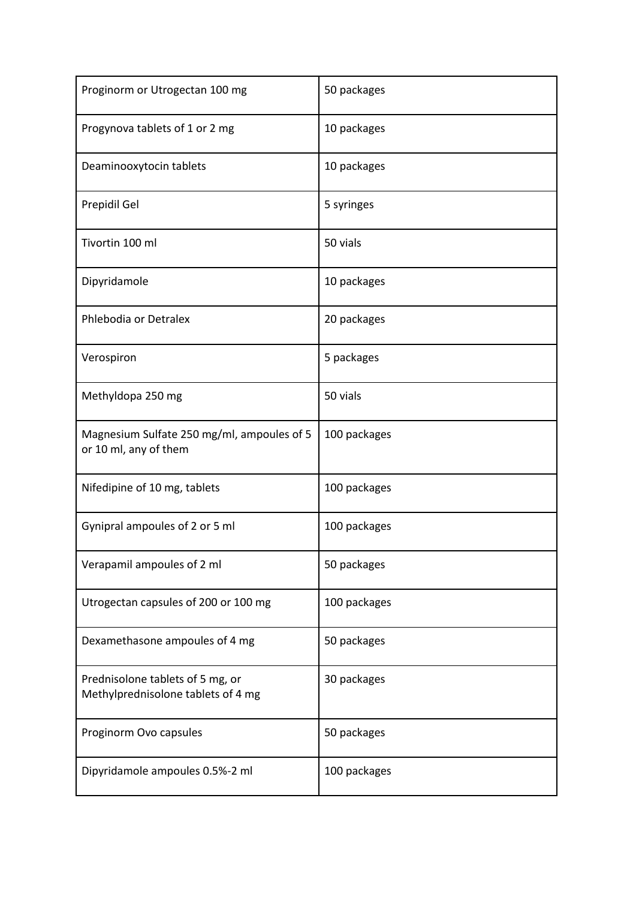| Proginorm or Utrogectan 100 mg                                         | 50 packages  |
|------------------------------------------------------------------------|--------------|
| Progynova tablets of 1 or 2 mg                                         | 10 packages  |
| Deaminooxytocin tablets                                                | 10 packages  |
| Prepidil Gel                                                           | 5 syringes   |
| Tivortin 100 ml                                                        | 50 vials     |
| Dipyridamole                                                           | 10 packages  |
| Phlebodia or Detralex                                                  | 20 packages  |
| Verospiron                                                             | 5 packages   |
| Methyldopa 250 mg                                                      | 50 vials     |
| Magnesium Sulfate 250 mg/ml, ampoules of 5<br>or 10 ml, any of them    | 100 packages |
| Nifedipine of 10 mg, tablets                                           | 100 packages |
| Gynipral ampoules of 2 or 5 ml                                         | 100 packages |
| Verapamil ampoules of 2 ml                                             | 50 packages  |
| Utrogectan capsules of 200 or 100 mg                                   | 100 packages |
| Dexamethasone ampoules of 4 mg                                         | 50 packages  |
| Prednisolone tablets of 5 mg, or<br>Methylprednisolone tablets of 4 mg | 30 packages  |
| Proginorm Ovo capsules                                                 | 50 packages  |
| Dipyridamole ampoules 0.5%-2 ml                                        | 100 packages |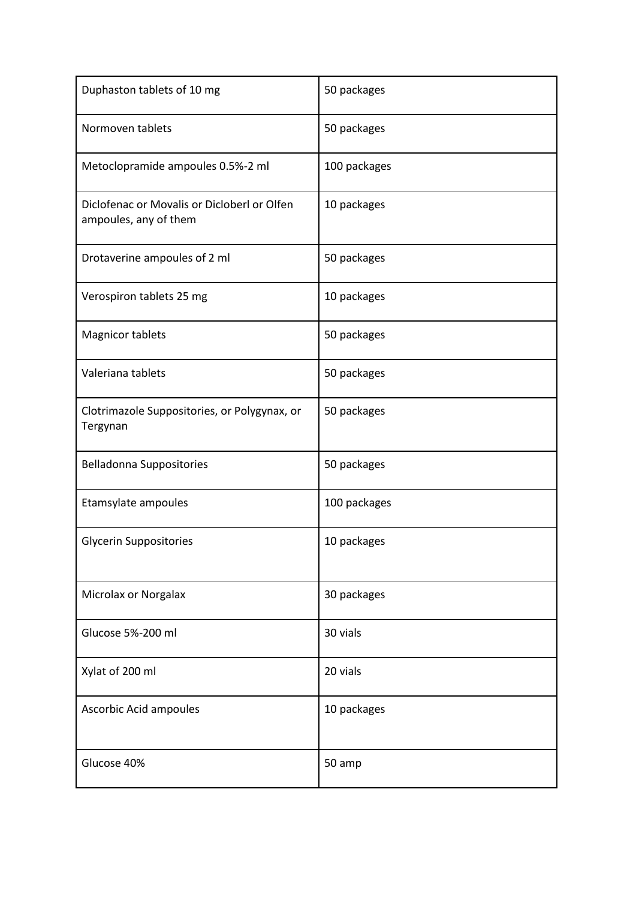| Duphaston tablets of 10 mg                                           | 50 packages  |
|----------------------------------------------------------------------|--------------|
| Normoven tablets                                                     | 50 packages  |
| Metoclopramide ampoules 0.5%-2 ml                                    | 100 packages |
| Diclofenac or Movalis or Dicloberl or Olfen<br>ampoules, any of them | 10 packages  |
| Drotaverine ampoules of 2 ml                                         | 50 packages  |
| Verospiron tablets 25 mg                                             | 10 packages  |
| <b>Magnicor tablets</b>                                              | 50 packages  |
| Valeriana tablets                                                    | 50 packages  |
| Clotrimazole Suppositories, or Polygynax, or<br>Tergynan             | 50 packages  |
| <b>Belladonna Suppositories</b>                                      | 50 packages  |
| Etamsylate ampoules                                                  | 100 packages |
| <b>Glycerin Suppositories</b>                                        | 10 packages  |
| Microlax or Norgalax                                                 | 30 packages  |
| Glucose 5%-200 ml                                                    | 30 vials     |
| Xylat of 200 ml                                                      | 20 vials     |
| Ascorbic Acid ampoules                                               | 10 packages  |
| Glucose 40%                                                          | 50 amp       |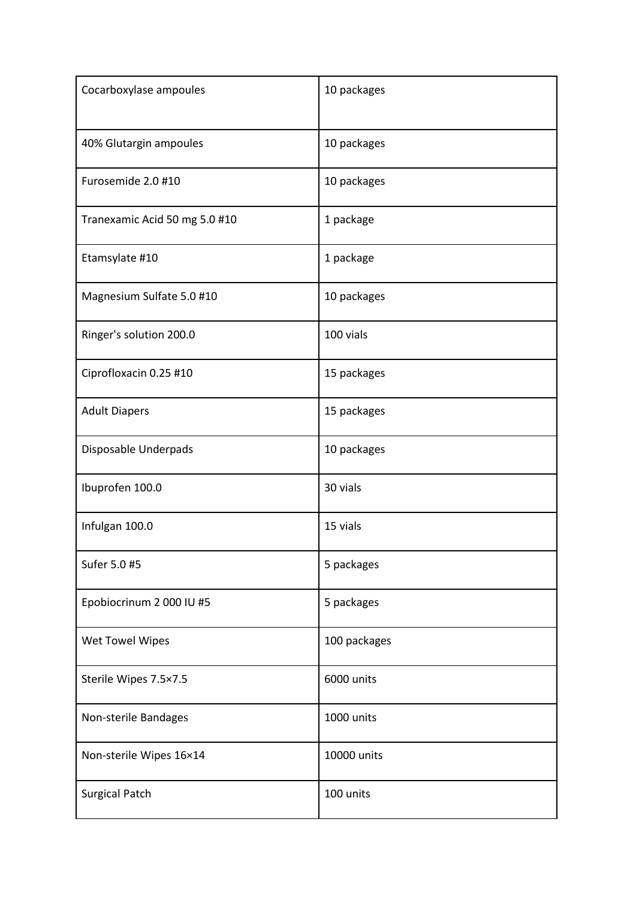| Cocarboxylase ampoules        | 10 packages  |
|-------------------------------|--------------|
| 40% Glutargin ampoules        | 10 packages  |
| Furosemide 2.0 #10            | 10 packages  |
| Tranexamic Acid 50 mg 5.0 #10 | 1 package    |
| Etamsylate #10                | 1 package    |
| Magnesium Sulfate 5.0 #10     | 10 packages  |
| Ringer's solution 200.0       | 100 vials    |
| Ciprofloxacin 0.25 #10        | 15 packages  |
| <b>Adult Diapers</b>          | 15 packages  |
| Disposable Underpads          | 10 packages  |
| Ibuprofen 100.0               | 30 vials     |
| Infulgan 100.0                | 15 vials     |
| Sufer 5.0 #5                  | 5 packages   |
| Epobiocrinum 2 000 IU #5      | 5 packages   |
| Wet Towel Wipes               | 100 packages |
| Sterile Wipes 7.5×7.5         | 6000 units   |
| Non-sterile Bandages          | 1000 units   |
| Non-sterile Wipes 16×14       | 10000 units  |
| <b>Surgical Patch</b>         | 100 units    |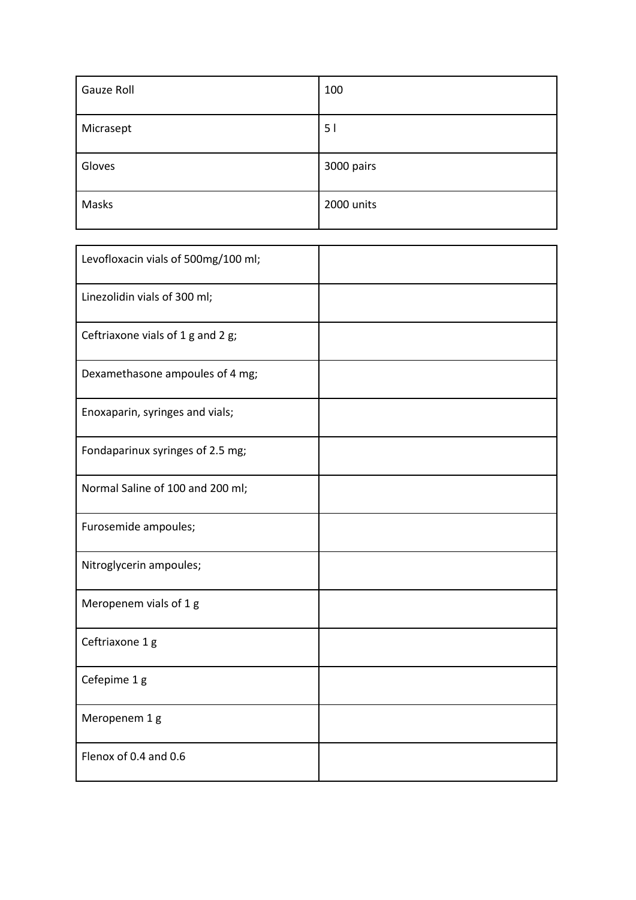| Gauze Roll | 100        |
|------------|------------|
| Micrasept  | 51         |
| Gloves     | 3000 pairs |
| Masks      | 2000 units |

| Levofloxacin vials of 500mg/100 ml; |  |
|-------------------------------------|--|
| Linezolidin vials of 300 ml;        |  |
| Ceftriaxone vials of 1 g and 2 g;   |  |
| Dexamethasone ampoules of 4 mg;     |  |
| Enoxaparin, syringes and vials;     |  |
| Fondaparinux syringes of 2.5 mg;    |  |
| Normal Saline of 100 and 200 ml;    |  |
| Furosemide ampoules;                |  |
| Nitroglycerin ampoules;             |  |
| Meropenem vials of 1 g              |  |
| Ceftriaxone 1 g                     |  |
| Cefepime 1 g                        |  |
| Meropenem 1 g                       |  |
| Flenox of 0.4 and 0.6               |  |